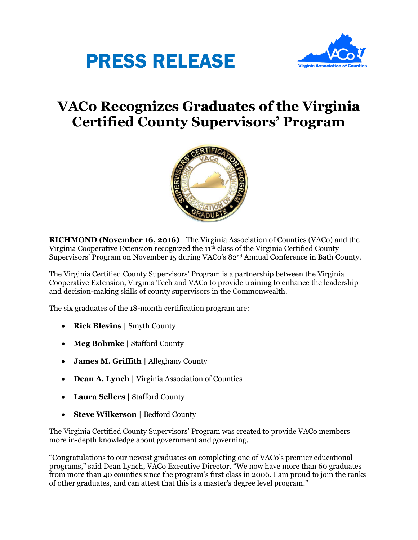# PRESS RELEASE



# **VACo Recognizes Graduates of the Virginia Certified County Supervisors' Program**



**RICHMOND (November 16, 2016)**—The Virginia Association of Counties (VACo) and the Virginia Cooperative Extension recognized the 11<sup>th</sup> class of the Virginia Certified County Supervisors' Program on November 15 during VACo's 82nd Annual Conference in Bath County.

The Virginia Certified County Supervisors' Program is a partnership between the Virginia Cooperative Extension, Virginia Tech and VACo to provide training to enhance the leadership and decision-making skills of county supervisors in the Commonwealth.

The six graduates of the 18-month certification program are:

- **Rick Blevins |** Smyth County
- **Meg Bohmke** | Stafford County
- **James M. Griffith |** Alleghany County
- **Dean A. Lynch |** Virginia Association of Counties
- **Laura Sellers |** Stafford County
- **Steve Wilkerson |** Bedford County

The Virginia Certified County Supervisors' Program was created to provide VACo members more in-depth knowledge about government and governing.

"Congratulations to our newest graduates on completing one of VACo's premier educational programs," said Dean Lynch, VACo Executive Director. "We now have more than 60 graduates from more than 40 counties since the program's first class in 2006. I am proud to join the ranks of other graduates, and can attest that this is a master's degree level program."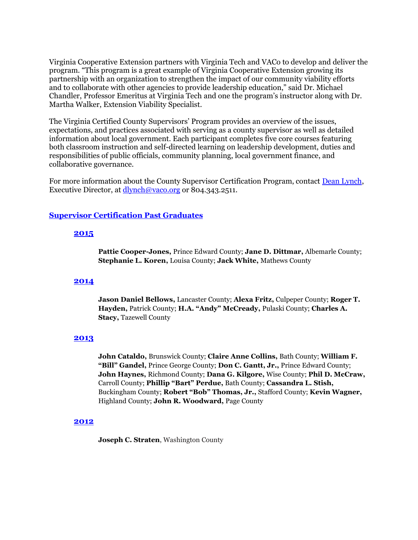Virginia Cooperative Extension partners with Virginia Tech and VACo to develop and deliver the program. "This program is a great example of Virginia Cooperative Extension growing its partnership with an organization to strengthen the impact of our community viability efforts and to collaborate with other agencies to provide leadership education," said Dr. Michael Chandler, Professor Emeritus at Virginia Tech and one the program's instructor along with Dr. Martha Walker, Extension Viability Specialist.

The Virginia Certified County Supervisors' Program provides an overview of the issues, expectations, and practices associated with serving as a county supervisor as well as detailed information about local government. Each participant completes five core courses featuring both classroom instruction and self-directed learning on leadership development, duties and responsibilities of public officials, community planning, local government finance, and collaborative governance.

For more information about the County Supervisor Certification Program, contact [Dean Lynch,](mailto:dlynch@vaco.org) Executive Director, at [dlynch@vaco.org](mailto:dlynch@vaco.org) or 804.343.2511.

# **[Supervisor Certification Past Graduates](http://www.vaco.org/vaco/vaco-honors/awards-honors/supervisors-certification-graduates/)**

# **[2015](https://www.vaco.org/wp-content/uploads/2020/09/SupCert15.pdf)**

**Pattie Cooper-Jones,** Prince Edward County; **Jane D. Dittmar,** Albemarle County; **Stephanie L. Koren,** Louisa County; **Jack White,** Mathews County

# **[2014](https://www.vaco.org/wp-content/uploads/2020/09/SupCert14.pdf)**

**Jason Daniel Bellows,** Lancaster County; **Alexa Fritz,** Culpeper County; **Roger T. Hayden,** Patrick County; **H.A. "Andy" McCready,** Pulaski County; **Charles A. Stacy,** Tazewell County

# **[2013](https://www.vaco.org/wp-content/uploads/2020/09/SupCert13.pdf)**

**John Cataldo,** Brunswick County; **Claire Anne Collins,** Bath County; **William F. "Bill" Gandel,** Prince George County; **Don C. Gantt, Jr.,** Prince Edward County; **John Haynes,** Richmond County; **Dana G. Kilgore,** Wise County; **Phil D. McCraw,** Carroll County; **Phillip "Bart" Perdue,** Bath County; **Cassandra L. Stish,** Buckingham County; **Robert "Bob" Thomas, Jr.,** Stafford County; **Kevin Wagner,** Highland County; **John R. Woodward,** Page County

#### **[2012](https://www.vaco.org/wp-content/uploads/2020/09/SupCert12.pdf)**

**Joseph C. Straten**, Washington County